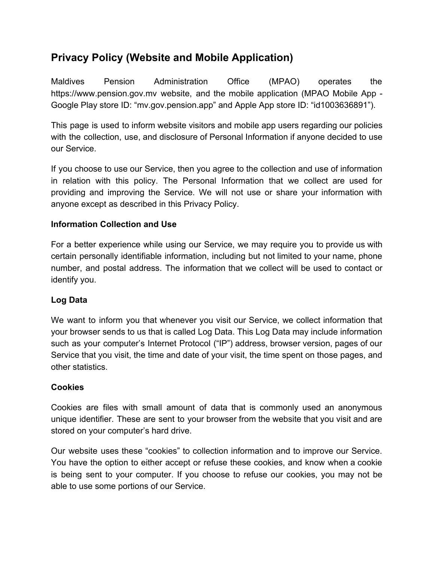# **Privacy Policy (Website and Mobile Application)**

Maldives Pension Administration Office (MPAO) operates the https://www.pension.gov.mv website, and the mobile application (MPAO Mobile App - Google Play store ID: "mv.gov.pension.app" and Apple App store ID: "id1003636891").

This page is used to inform website visitors and mobile app users regarding our policies with the collection, use, and disclosure of Personal Information if anyone decided to use our Service.

If you choose to use our Service, then you agree to the collection and use of information in relation with this policy. The Personal Information that we collect are used for providing and improving the Service. We will not use or share your information with anyone except as described in this Privacy Policy.

## **Information Collection and Use**

For a better experience while using our Service, we may require you to provide us with certain personally identifiable information, including but not limited to your name, phone number, and postal address. The information that we collect will be used to contact or identify you.

# **Log Data**

We want to inform you that whenever you visit our Service, we collect information that your browser sends to us that is called Log Data. This Log Data may include information such as your computer's Internet Protocol ("IP") address, browser version, pages of our Service that you visit, the time and date of your visit, the time spent on those pages, and other statistics.

## **Cookies**

Cookies are files with small amount of data that is commonly used an anonymous unique identifier. These are sent to your browser from the website that you visit and are stored on your computer's hard drive.

Our website uses these "cookies" to collection information and to improve our Service. You have the option to either accept or refuse these cookies, and know when a cookie is being sent to your computer. If you choose to refuse our cookies, you may not be able to use some portions of our Service.